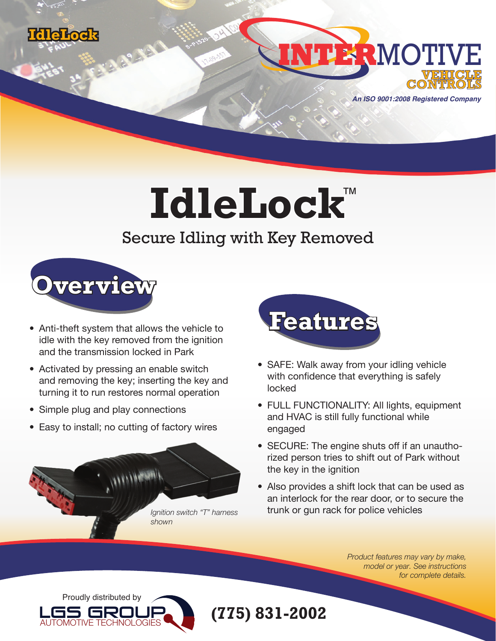



**An ISO 9001:2008 Registered Company**

## **IdleLock** ™

## Secure Idling with Key Removed



- Anti-theft system that allows the vehicle to idle with the key removed from the ignition and the transmission locked in Park
- Activated by pressing an enable switch and removing the key; inserting the key and turning it to run restores normal operation
- Simple plug and play connections
- Easy to install; no cutting of factory wires





- SAFE: Walk away from your idling vehicle with confidence that everything is safely locked
- FULL FUNCTIONALITY: All lights, equipment and HVAC is still fully functional while engaged
- SECURE: The engine shuts off if an unauthorized person tries to shift out of Park without the key in the ignition
- Also provides a shift lock that can be used as an interlock for the rear door, or to secure the trunk or gun rack for police vehicles

*Product features may vary by make, model or year. See instructions for complete details.*



**(775) 831-2002**